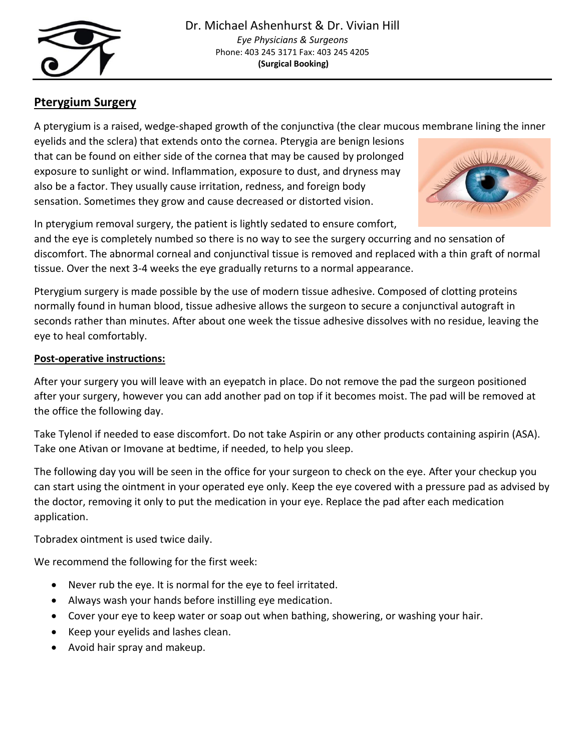

## **Pterygium Surgery**

A pterygium is a raised, wedge-shaped growth of the conjunctiva (the clear mucous membrane lining the inner

eyelids and the sclera) that extends onto the cornea. Pterygia are benign lesions that can be found on either side of the cornea that may be caused by prolonged exposure to sunlight or wind. Inflammation, exposure to dust, and dryness may also be a factor. They usually cause irritation, redness, and foreign body sensation. Sometimes they grow and cause decreased or distorted vision.



In pterygium removal surgery, the patient is lightly sedated to ensure comfort,

and the eye is completely numbed so there is no way to see the surgery occurring and no sensation of discomfort. The abnormal corneal and conjunctival tissue is removed and replaced with a thin graft of normal tissue. Over the next 3-4 weeks the eye gradually returns to a normal appearance.

Pterygium surgery is made possible by the use of modern tissue adhesive. Composed of clotting proteins normally found in human blood, tissue adhesive allows the surgeon to secure a conjunctival autograft in seconds rather than minutes. After about one week the tissue adhesive dissolves with no residue, leaving the eye to heal comfortably.

## **Post-operative instructions:**

After your surgery you will leave with an eyepatch in place. Do not remove the pad the surgeon positioned after your surgery, however you can add another pad on top if it becomes moist. The pad will be removed at the office the following day.

Take Tylenol if needed to ease discomfort. Do not take Aspirin or any other products containing aspirin (ASA). Take one Ativan or Imovane at bedtime, if needed, to help you sleep.

The following day you will be seen in the office for your surgeon to check on the eye. After your checkup you can start using the ointment in your operated eye only. Keep the eye covered with a pressure pad as advised by the doctor, removing it only to put the medication in your eye. Replace the pad after each medication application.

Tobradex ointment is used twice daily.

We recommend the following for the first week:

- Never rub the eye. It is normal for the eye to feel irritated.
- Always wash your hands before instilling eye medication.
- Cover your eye to keep water or soap out when bathing, showering, or washing your hair.
- Keep your eyelids and lashes clean.
- Avoid hair spray and makeup.